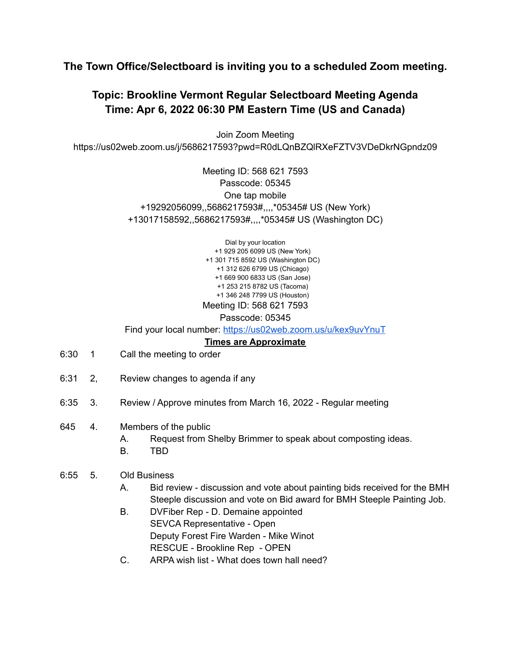## **The Town Office/Selectboard is inviting you to a scheduled Zoom meeting.**

## **Topic: Brookline Vermont Regular Selectboard Meeting Agenda Time: Apr 6, 2022 06:30 PM Eastern Time (US and Canada)**

Join Zoom Meeting https://us02web.zoom.us/j/5686217593?pwd=R0dLQnBZQlRXeFZTV3VDeDkrNGpndz09

> Meeting ID: 568 621 7593 Passcode: 05345 One tap mobile +19292056099,,5686217593#,,,,\*05345# US (New York) +13017158592,,5686217593#,,,,\*05345# US (Washington DC)

> > Dial by your location +1 929 205 6099 US (New York) +1 301 715 8592 US (Washington DC) +1 312 626 6799 US (Chicago) +1 669 900 6833 US (San Jose) +1 253 215 8782 US (Tacoma) +1 346 248 7799 US (Houston) Meeting ID: 568 621 7593

> > > Passcode: 05345

Find your local number: <https://us02web.zoom.us/u/kex9uvYnuT>

**Times are Approximate**

- 6:30 1 Call the meeting to order
- 6:31 2, Review changes to agenda if any
- 6:35 3. Review / Approve minutes from March 16, 2022 Regular meeting
- 645 4. Members of the public
	- A. Request from Shelby Brimmer to speak about composting ideas.
	- B. TBD

## 6:55 5. Old Business

- A. Bid review discussion and vote about painting bids received for the BMH Steeple discussion and vote on Bid award for BMH Steeple Painting Job.
- B. DVFiber Rep D. Demaine appointed SEVCA Representative - Open Deputy Forest Fire Warden - Mike Winot RESCUE - Brookline Rep - OPEN
- C. ARPA wish list What does town hall need?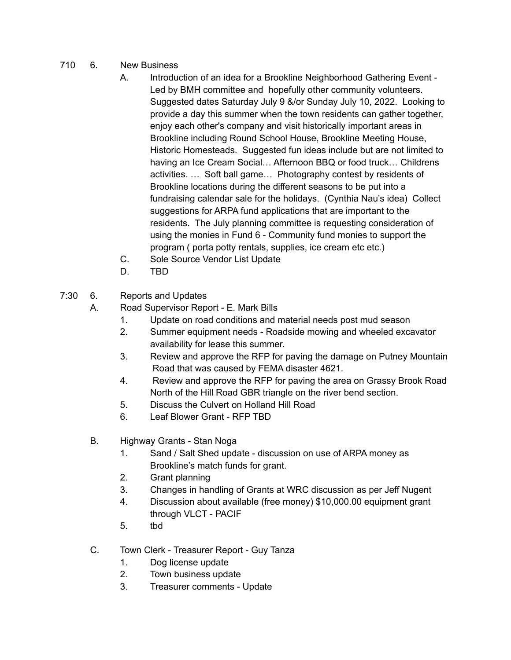- 710 6. New Business
	- A. Introduction of an idea for a Brookline Neighborhood Gathering Event Led by BMH committee and hopefully other community volunteers. Suggested dates Saturday July 9 &/or Sunday July 10, 2022. Looking to provide a day this summer when the town residents can gather together, enjoy each other's company and visit historically important areas in Brookline including Round School House, Brookline Meeting House, Historic Homesteads. Suggested fun ideas include but are not limited to having an Ice Cream Social… Afternoon BBQ or food truck… Childrens activities. … Soft ball game… Photography contest by residents of Brookline locations during the different seasons to be put into a fundraising calendar sale for the holidays. (Cynthia Nau's idea) Collect suggestions for ARPA fund applications that are important to the residents. The July planning committee is requesting consideration of using the monies in Fund 6 - Community fund monies to support the program ( porta potty rentals, supplies, ice cream etc etc.)
	- C. Sole Source Vendor List Update
	- D. TBD
- 7:30 6. Reports and Updates

A. Road Supervisor Report - E. Mark Bills

- 1. Update on road conditions and material needs post mud season
- 2. Summer equipment needs Roadside mowing and wheeled excavator availability for lease this summer.
- 3. Review and approve the RFP for paving the damage on Putney Mountain Road that was caused by FEMA disaster 4621.
- 4. Review and approve the RFP for paving the area on Grassy Brook Road North of the Hill Road GBR triangle on the river bend section.
- 5. Discuss the Culvert on Holland Hill Road
- 6. Leaf Blower Grant RFP TBD
- B. Highway Grants Stan Noga
	- 1. Sand / Salt Shed update discussion on use of ARPA money as Brookline's match funds for grant.
	- 2. Grant planning
	- 3. Changes in handling of Grants at WRC discussion as per Jeff Nugent
	- 4. Discussion about available (free money) \$10,000.00 equipment grant through VLCT - PACIF
	- 5. tbd
- C. Town Clerk Treasurer Report Guy Tanza
	- 1. Dog license update
	- 2. Town business update
	- 3. Treasurer comments Update